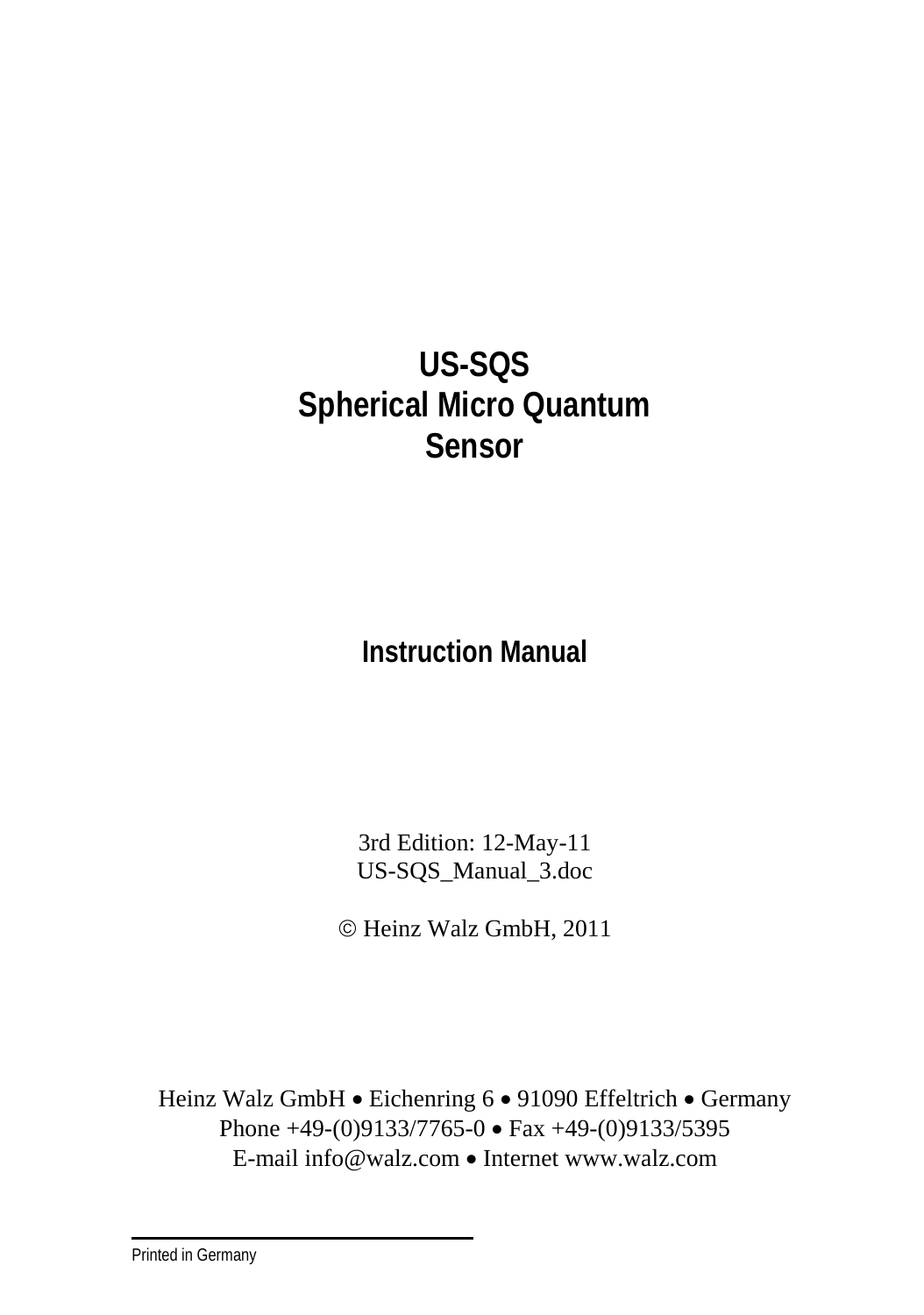# **US-SQS Spherical Micro Quantum Sensor**

**Instruction Manual**

3rd Edition: 12-May-11 US-SQS\_Manual\_3.doc

© Heinz Walz GmbH, 2011

Heinz Walz GmbH • Eichenring 6 • 91090 Effeltrich • Germany Phone +49-(0)9133/7765-0 • Fax +49-(0)9133/5395 E-mail info@walz.com • Internet www.walz.com

Printed in Germany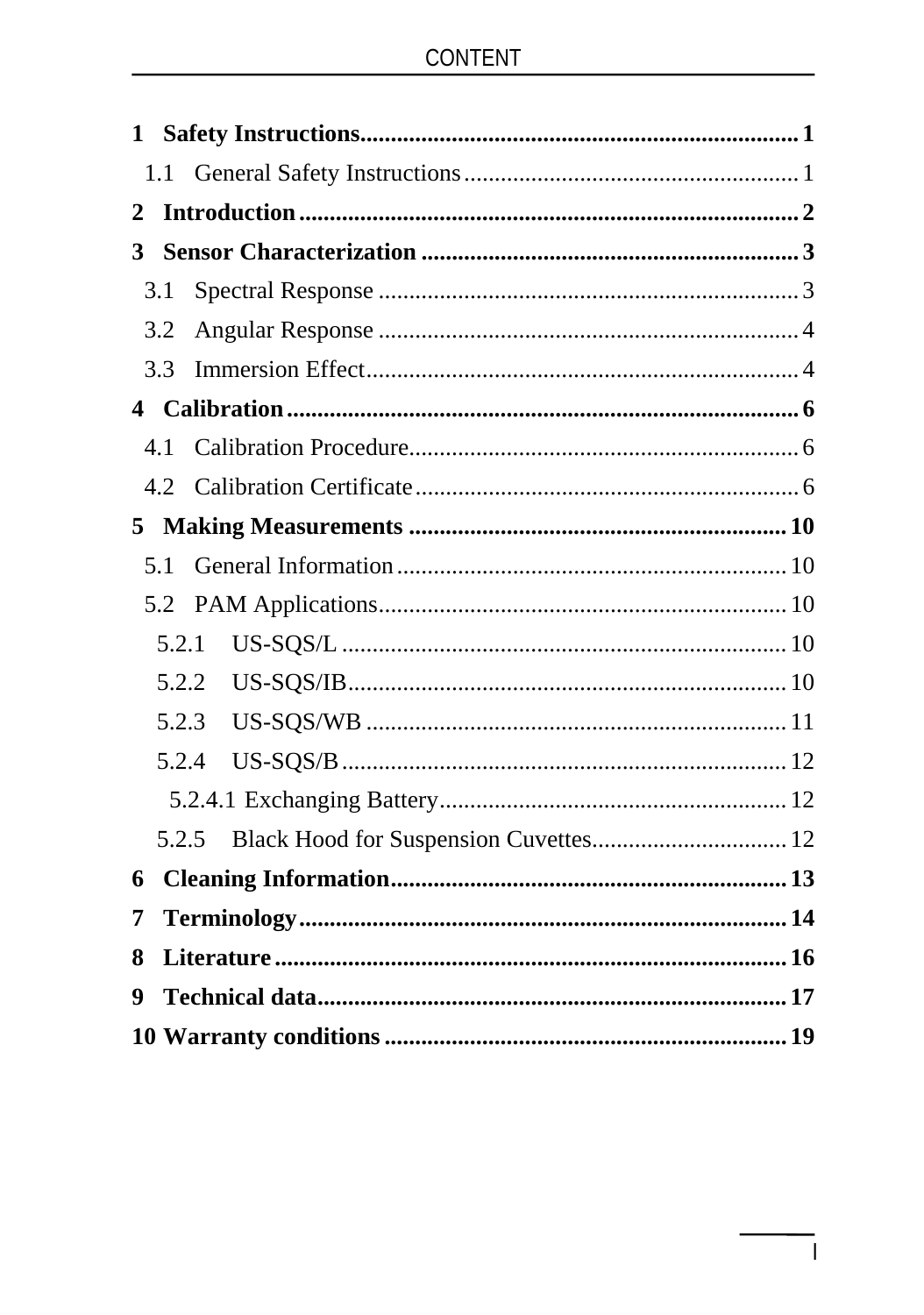# CONTENT

| 1.1<br>2<br>3<br>3.1<br>3.2<br>3.3<br>4.1 |  |
|-------------------------------------------|--|
|                                           |  |
|                                           |  |
|                                           |  |
|                                           |  |
|                                           |  |
|                                           |  |
|                                           |  |
|                                           |  |
| 4.2                                       |  |
| 5                                         |  |
| 5.1                                       |  |
|                                           |  |
| 5.2.1                                     |  |
|                                           |  |
| 5.2.3                                     |  |
| 5.2.4                                     |  |
|                                           |  |
| 5.2.5                                     |  |
| 6                                         |  |
| 7                                         |  |
| 8                                         |  |
| 9                                         |  |
|                                           |  |

 $\begin{array}{c} \hline \end{array}$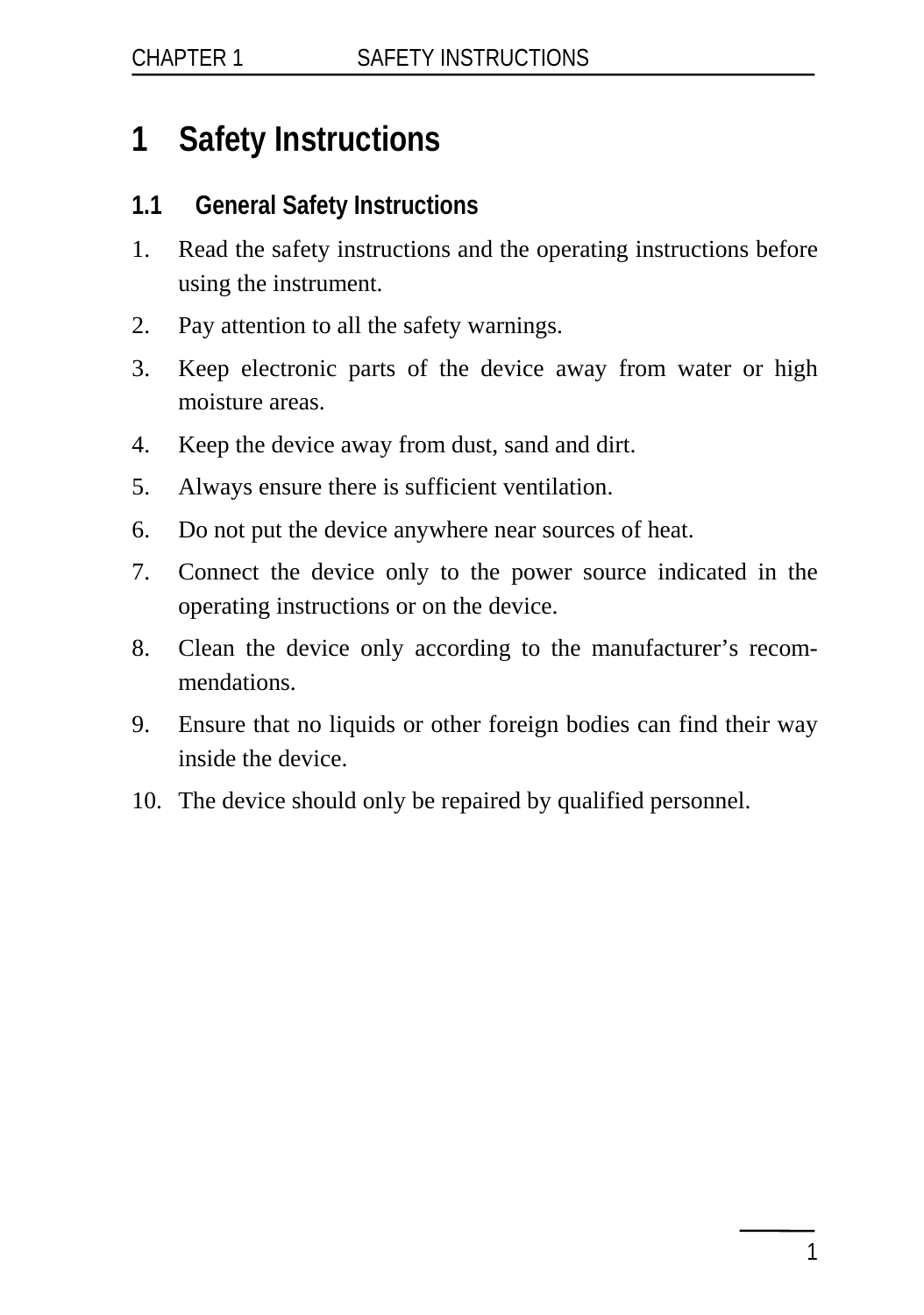# <span id="page-4-0"></span>**1 Safety Instructions**

### **1.1 General Safety Instructions**

- 1. Read the safety instructions and the operating instructions before using the instrument.
- 2. Pay attention to all the safety warnings.
- 3. Keep electronic parts of the device away from water or high moisture areas.
- 4. Keep the device away from dust, sand and dirt.
- 5. Always ensure there is sufficient ventilation.
- 6. Do not put the device anywhere near sources of heat.
- 7. Connect the device only to the power source indicated in the operating instructions or on the device.
- 8. Clean the device only according to the manufacturer's recommendations.
- 9. Ensure that no liquids or other foreign bodies can find their way inside the device.
- 10. The device should only be repaired by qualified personnel.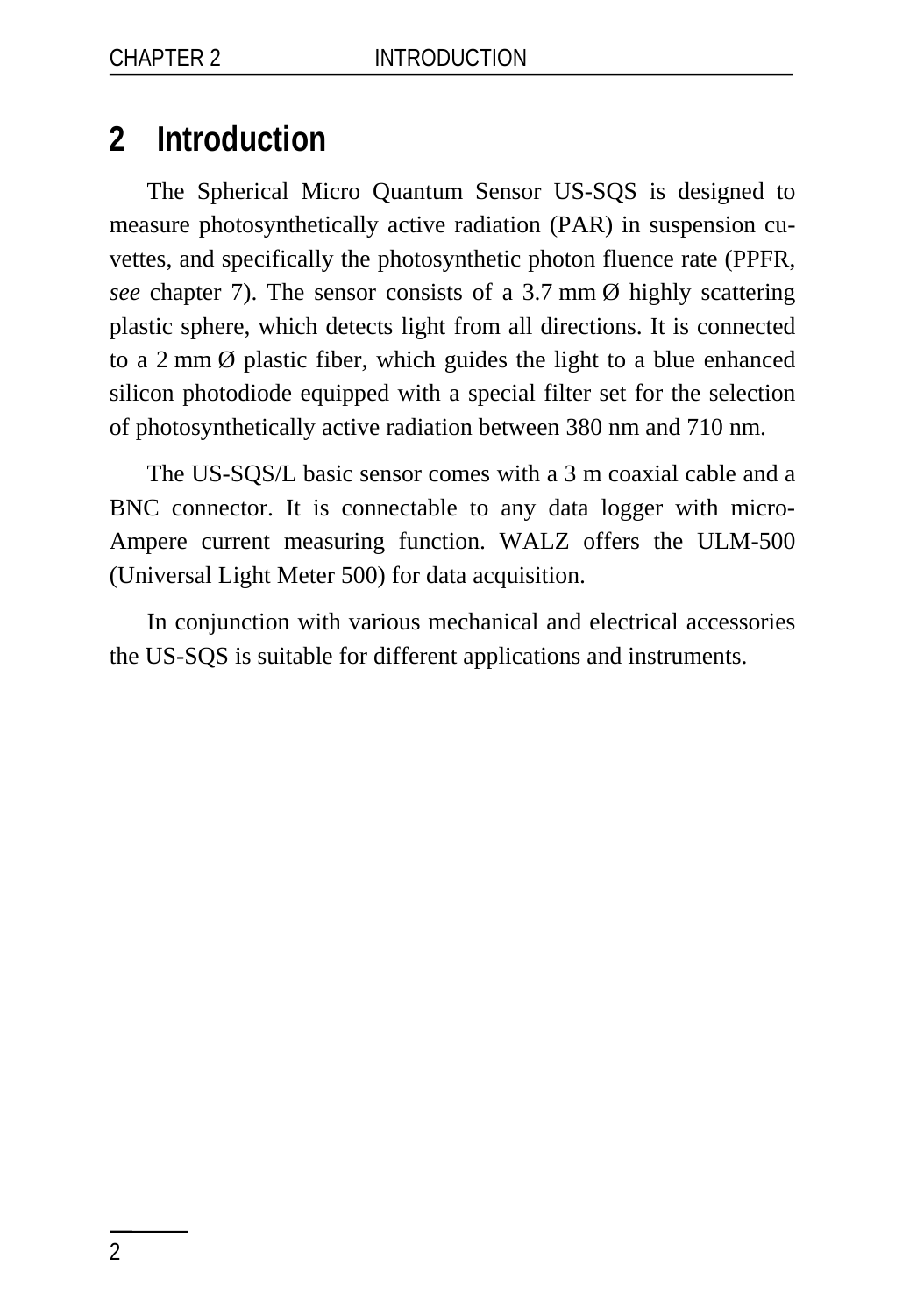# <span id="page-5-0"></span>**2 Introduction**

The Spherical Micro Quantum Sensor US-SQS is designed to measure photosynthetically active radiation (PAR) in suspension cuvettes, and specifically the photosynthetic photon fluence rate (PPFR, *see* chapter 7). The sensor consists of a 3.7 mm  $\emptyset$  highly scattering plastic sphere, which detects light from all directions. It is connected to a 2 mm Ø plastic fiber, which guides the light to a blue enhanced silicon photodiode equipped with a special filter set for the selection of photosynthetically active radiation between 380 nm and 710 nm.

The US-SQS/L basic sensor comes with a 3 m coaxial cable and a BNC connector. It is connectable to any data logger with micro-Ampere current measuring function. WALZ offers the ULM-500 (Universal Light Meter 500) for data acquisition.

In conjunction with various mechanical and electrical accessories the US-SQS is suitable for different applications and instruments.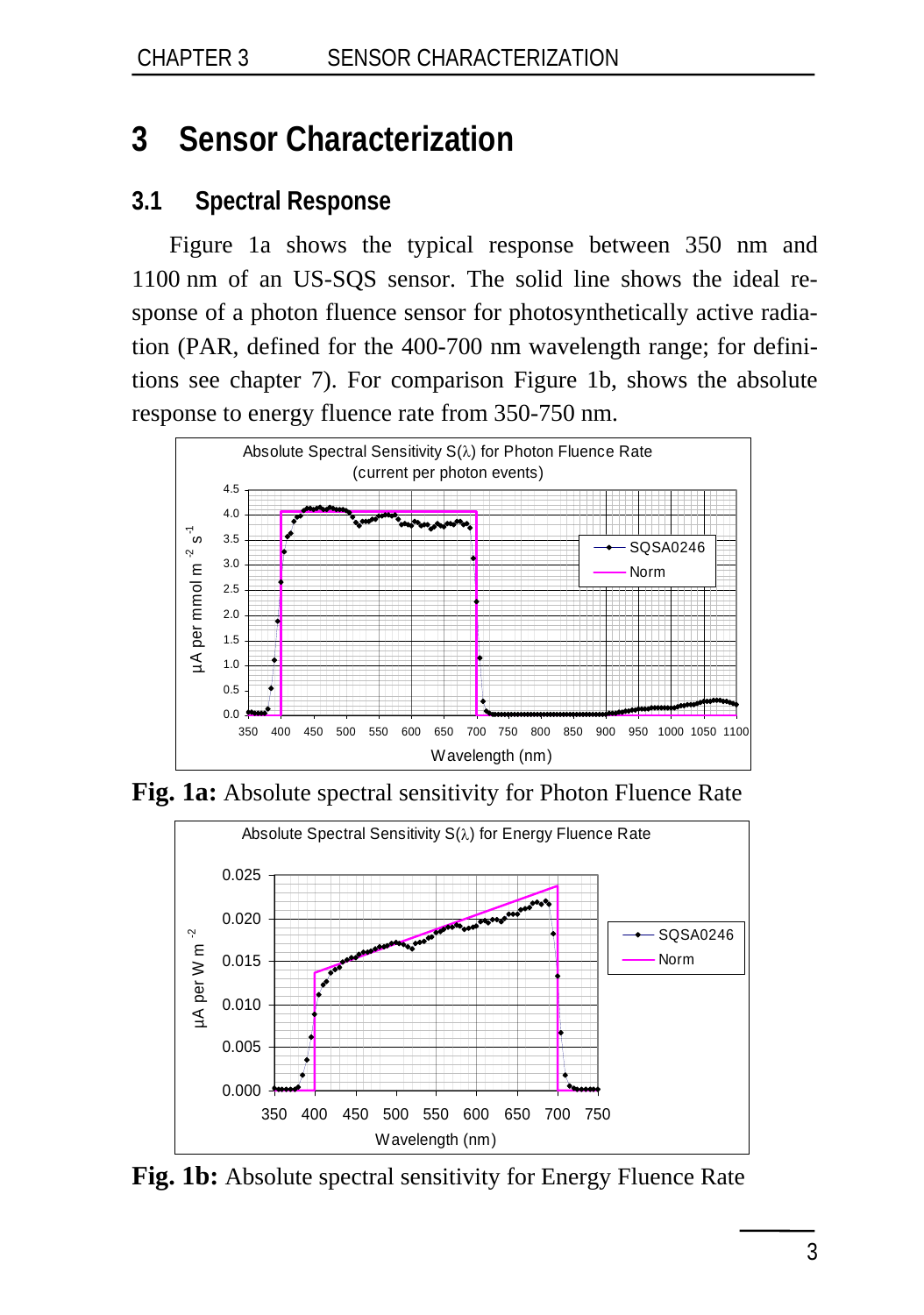# <span id="page-6-0"></span>**3 Sensor Characterization**

## **3.1 Spectral Response**

Figure 1a shows the typical response between 350 nm and 1100 nm of an US-SQS sensor. The solid line shows the ideal response of a photon fluence sensor for photosynthetically active radiation (PAR, defined for the 400-700 nm wavelength range; for definitions see chapter 7). For comparison Figure 1b, shows the absolute response to energy fluence rate from 350-750 nm.



**Fig. 1a:** Absolute spectral sensitivity for Photon Fluence Rate



**Fig. 1b:** Absolute spectral sensitivity for Energy Fluence Rate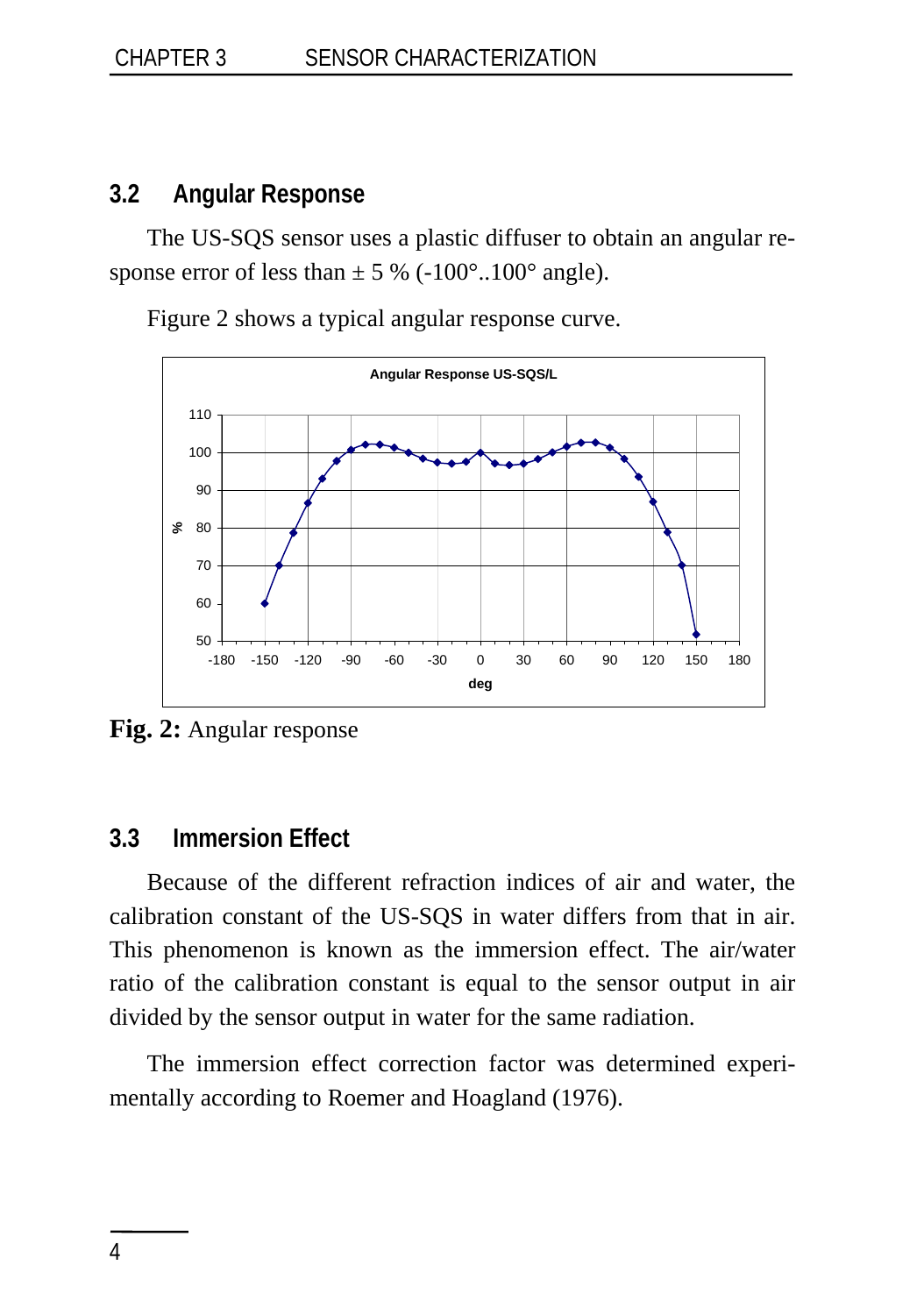### <span id="page-7-0"></span>**3.2 Angular Response**

The US-SQS sensor uses a plastic diffuser to obtain an angular response error of less than  $\pm$  5 % (-100 $^{\circ}$ ...100 $^{\circ}$  angle).

Figure 2 shows a typical angular response curve.



**Fig. 2:** Angular response

### **3.3 Immersion Effect**

Because of the different refraction indices of air and water, the calibration constant of the US-SQS in water differs from that in air. This phenomenon is known as the immersion effect. The air/water ratio of the calibration constant is equal to the sensor output in air divided by the sensor output in water for the same radiation.

The immersion effect correction factor was determined experimentally according to Roemer and Hoagland (1976).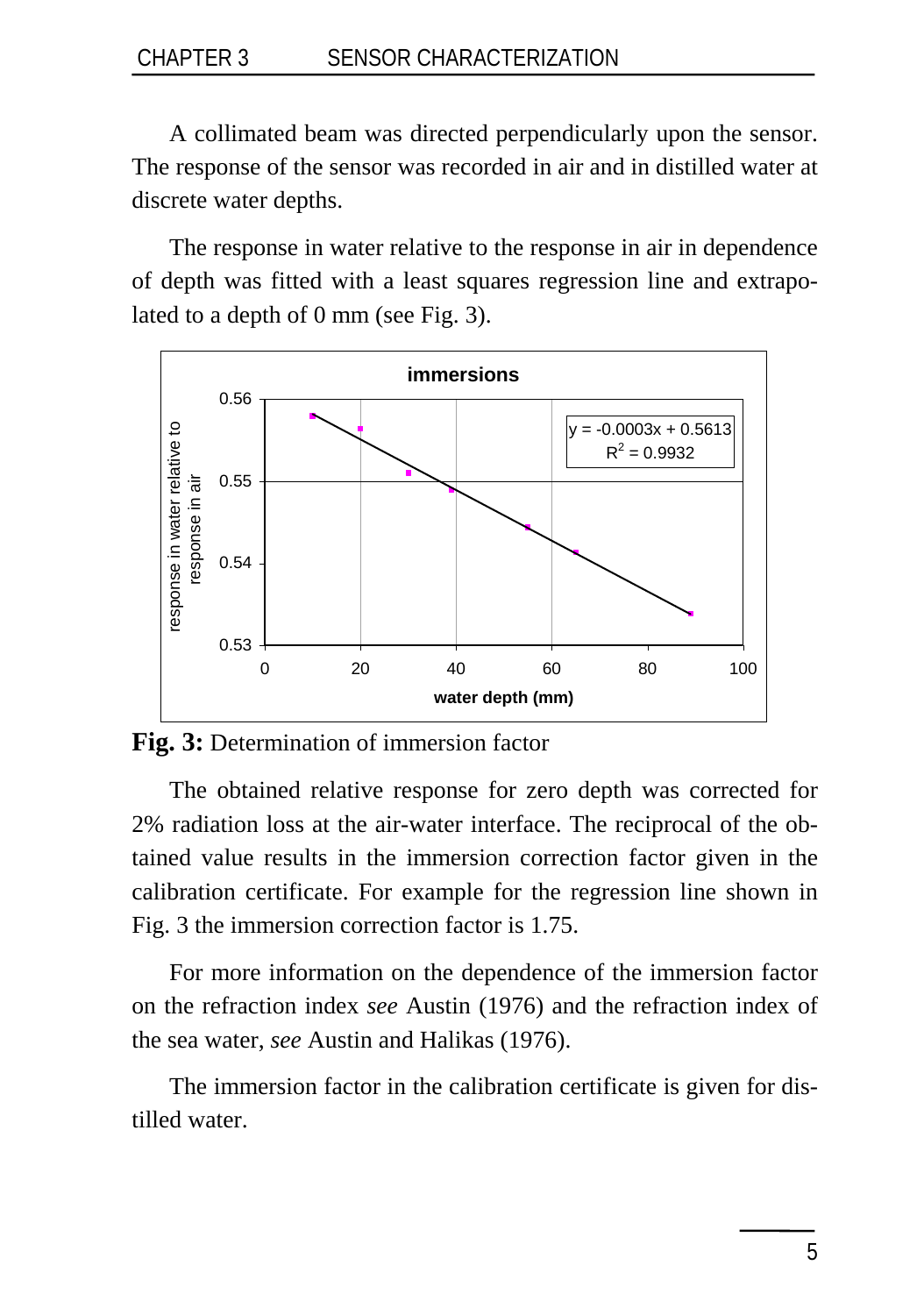#### CHAPTER 3 SENSOR CHARACTERIZATION

A collimated beam was directed perpendicularly upon the sensor. The response of the sensor was recorded in air and in distilled water at discrete water depths.

The response in water relative to the response in air in dependence of depth was fitted with a least squares regression line and extrapolated to a depth of 0 mm (see Fig. 3).



**Fig. 3:** Determination of immersion factor

The obtained relative response for zero depth was corrected for 2% radiation loss at the air-water interface. The reciprocal of the obtained value results in the immersion correction factor given in the calibration certificate. For example for the regression line shown in Fig. 3 the immersion correction factor is 1.75.

For more information on the dependence of the immersion factor on the refraction index *see* Austin (1976) and the refraction index of the sea water, *see* Austin and Halikas (1976).

The immersion factor in the calibration certificate is given for distilled water.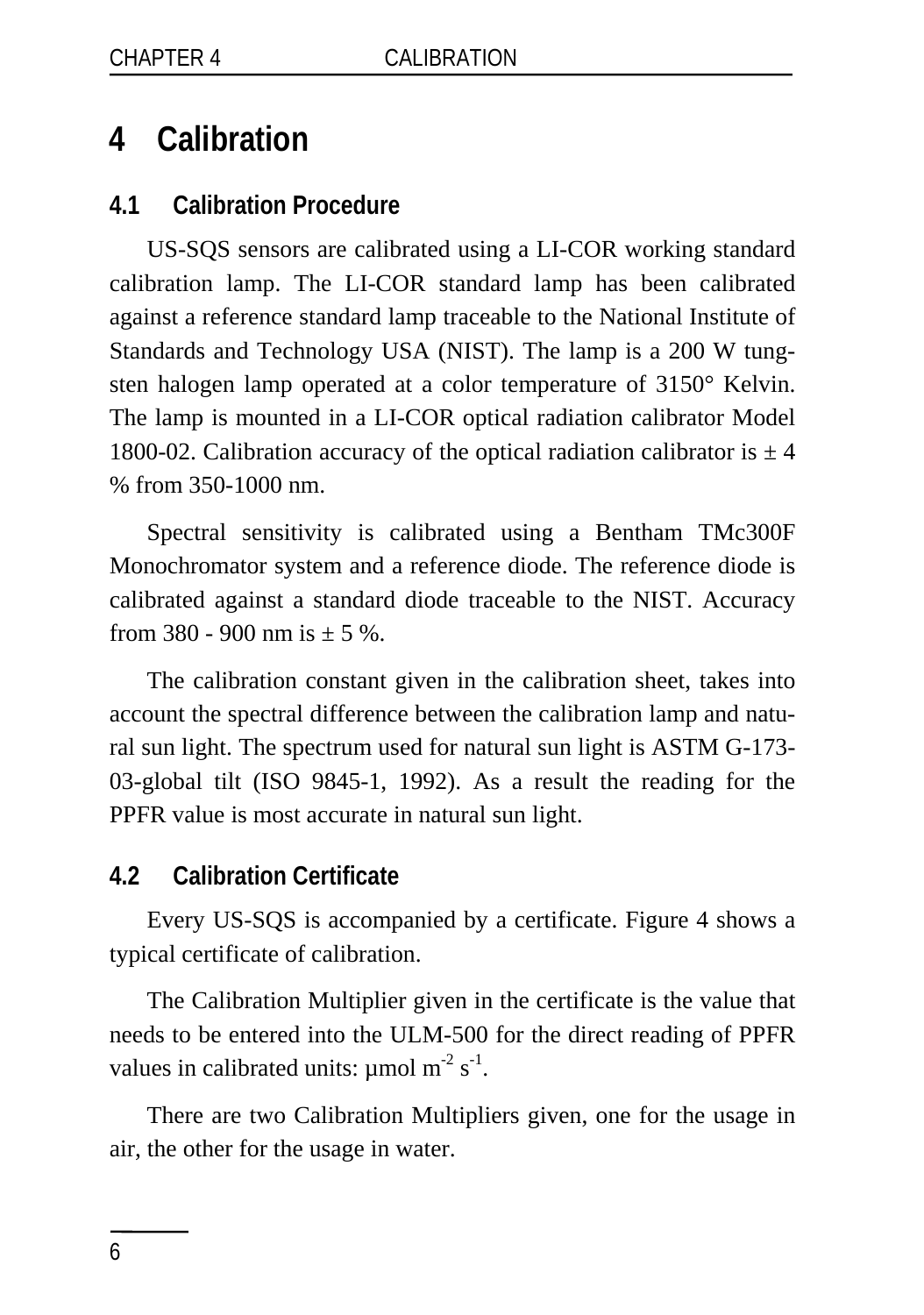# <span id="page-9-0"></span>**4 Calibration**

#### **4.1 Calibration Procedure**

US-SQS sensors are calibrated using a LI-COR working standard calibration lamp. The LI-COR standard lamp has been calibrated against a reference standard lamp traceable to the National Institute of Standards and Technology USA (NIST). The lamp is a 200 W tungsten halogen lamp operated at a color temperature of 3150° Kelvin. The lamp is mounted in a LI-COR optical radiation calibrator Model 1800-02. Calibration accuracy of the optical radiation calibrator is  $\pm 4$ % from 350-1000 nm.

Spectral sensitivity is calibrated using a Bentham TMc300F Monochromator system and a reference diode. The reference diode is calibrated against a standard diode traceable to the NIST. Accuracy from 380 - 900 nm is  $\pm$  5 %.

The calibration constant given in the calibration sheet, takes into account the spectral difference between the calibration lamp and natural sun light. The spectrum used for natural sun light is ASTM G-173- 03-global tilt (ISO 9845-1, 1992). As a result the reading for the PPFR value is most accurate in natural sun light.

#### **4.2 Calibration Certificate**

Every US-SQS is accompanied by a certificate. Figure 4 shows a typical certificate of calibration.

The Calibration Multiplier given in the certificate is the value that needs to be entered into the ULM-500 for the direct reading of PPFR values in calibrated units:  $\mu$ mol m<sup>-2</sup> s<sup>-1</sup>.

There are two Calibration Multipliers given, one for the usage in air, the other for the usage in water.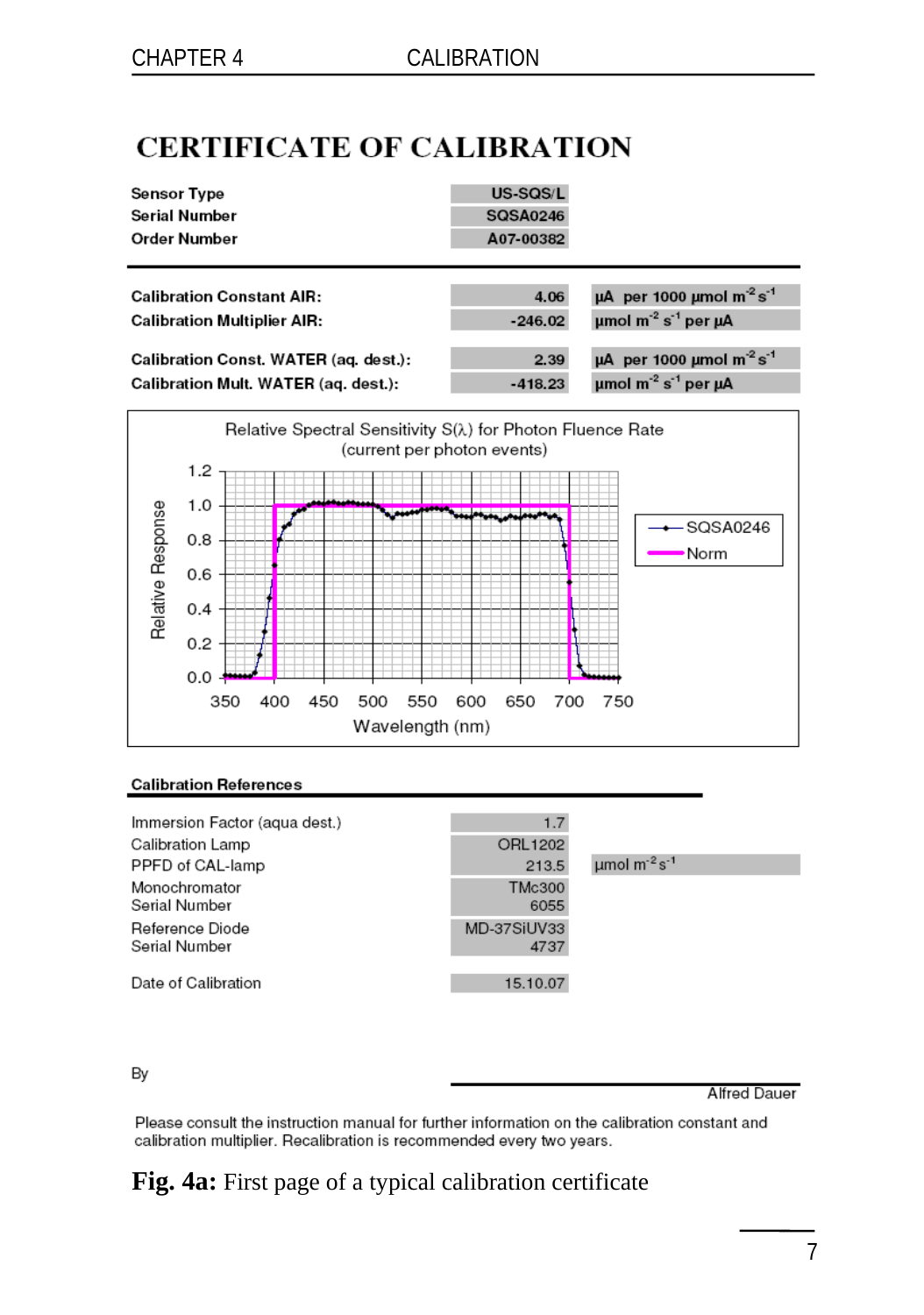# **CERTIFICATE OF CALIBRATION**

| <b>Sensor Type</b>                    | US-SQS/L        |                                                            |
|---------------------------------------|-----------------|------------------------------------------------------------|
| <b>Serial Number</b>                  | <b>SQSA0246</b> |                                                            |
| Order Number                          | A07-00382       |                                                            |
|                                       |                 |                                                            |
| <b>Calibration Constant AIR:</b>      | 4.06            | $\mu$ A per 1000 umol m <sup>-2</sup> s <sup>-1</sup>      |
| <b>Calibration Multiplier AIR:</b>    | $-246.02$       | umol $m^{-2}$ s <sup>-1</sup> per $\mu$ A                  |
|                                       |                 |                                                            |
| Calibration Const. WATER (aq. dest.): | 2.39            | $\mu$ A per 1000 $\mu$ mol m <sup>-2</sup> s <sup>-1</sup> |
| Calibration Mult. WATER (aq. dest.):  | $-418.23$       | umol $m^{-2}$ s <sup>-1</sup> per uA                       |



#### **Calibration References**

| Immersion Factor (aqua dest.)    | 1.7                   |                                           |
|----------------------------------|-----------------------|-------------------------------------------|
| Calibration Lamp                 | ORL1202               |                                           |
| PPFD of CAL-lamp                 | 213.5                 | $\mu$ mol m <sup>-2</sup> s <sup>-1</sup> |
| Monochromator<br>Serial Number   | <b>TMc300</b><br>6055 |                                           |
| Reference Diode<br>Serial Number | MD-37SiUV33<br>4737   |                                           |
| Date of Calibration              | 15.10.07              |                                           |

By

**Alfred Dauer** 

Please consult the instruction manual for further information on the calibration constant and calibration multiplier. Recalibration is recommended every two years.

### **Fig. 4a:** First page of a typical calibration certificate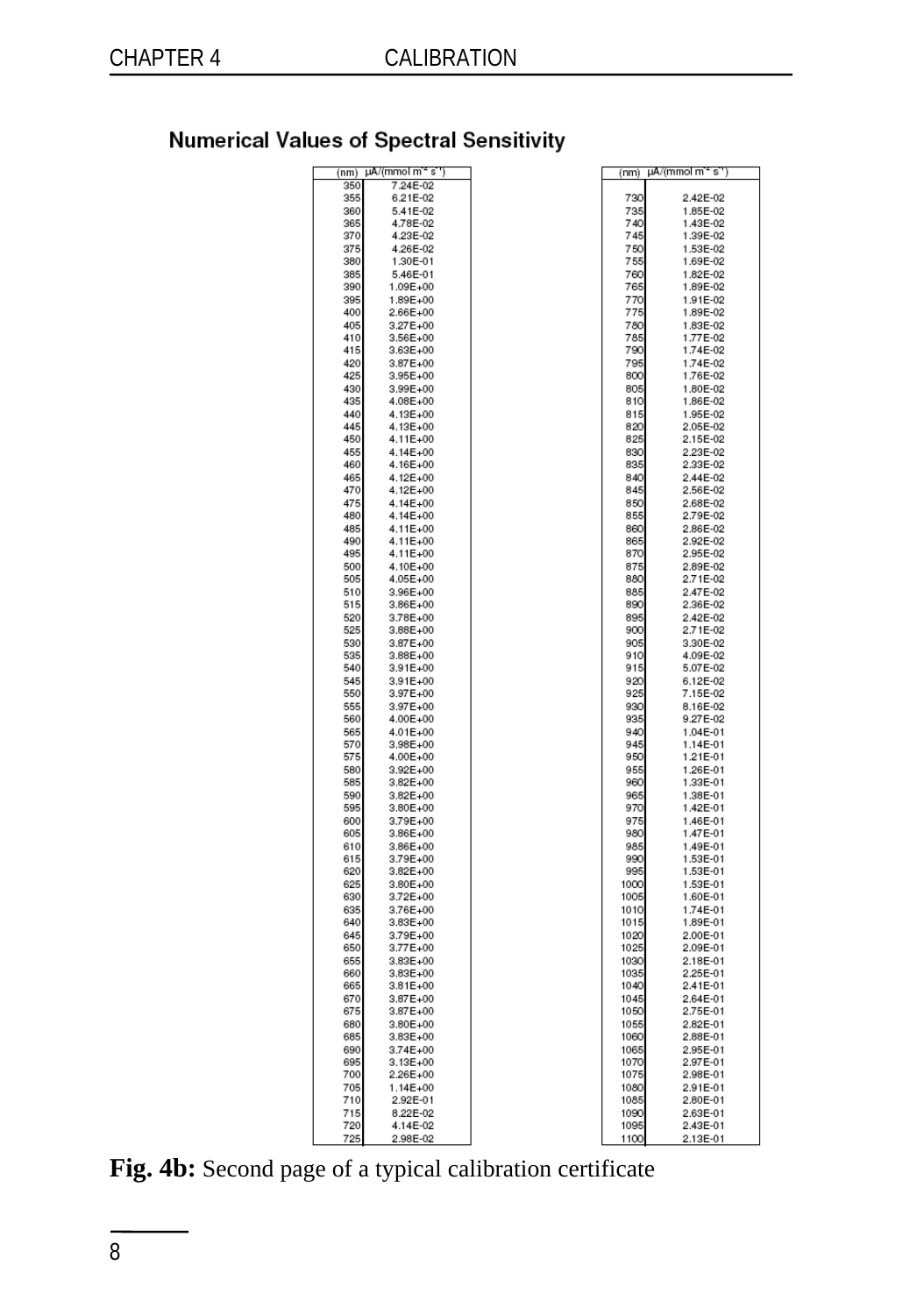# **Numerical Values of Spectral Sensitivity**

| (nm)       | µA/(mmolm <sup>-e</sup> s'') |            | (nm) µA/(mmolm <sup>-s</sup> s') |
|------------|------------------------------|------------|----------------------------------|
| 350        | 7.24E-02                     |            |                                  |
| 355        | 6.21E-02                     | 730        | 2.42E-02                         |
| 360        | 5.41E-02                     | 735        | 1.85E-02                         |
| 365        | 4.78E-02                     | 740        | 1.43E-02                         |
| 370        | 4.23E-02                     | 745        | 1.39E-02                         |
| 375        | 4.26E-02                     | 750        | 1.53E-02                         |
| 380        | 1.30E-01                     | 755        | 1.69E-02                         |
| 385        | 5.46E-01                     | 760        | 1.82E-02                         |
| 390        | 1.09E+00                     | 765        | 1.89E-02                         |
| 395        |                              |            |                                  |
| 400        | 1.89E+00<br>2.66E+00         | 770<br>775 | 1.91E-02<br>1.89E-02             |
| 405        | $3.27E + 00$                 | 780        | 1.83E-02                         |
| 410        |                              | 785        | 1.77E-02                         |
|            | 3.56E+00                     |            |                                  |
| 415        | 3.63E+00                     | 790        | 1.74E-02                         |
| 420<br>425 | 3.87E+00                     | 795<br>800 | 1.74E-02                         |
| 430        | 3.95E+00                     |            | 1.76E-02                         |
| 435        | 3.99E+00<br>4.08E+00         | 805<br>810 | 1.80E-02<br>1.86E-02             |
| 440        |                              | 815        | 1.95E-02                         |
| 445        | 4.13E+00                     | 820        | 2.05E-02                         |
| 450        | 4.13E+00<br>4.11E+00         | 825        | 2.15E-02                         |
|            |                              |            |                                  |
| 455<br>460 | 4.14E+00<br>4.16E+00         | 830<br>835 | 2.23E-02<br>2.33E-02             |
| 465        |                              | 840        | 2.44F-02                         |
|            | $4.12E + 00$                 |            |                                  |
| 470        | 4.12E+00                     | 845        | 2.56E-02                         |
| 475        | 4.14E+00                     | 850        | 2.68E-02                         |
| 480        | 4.14E+00                     | 855        | 2.79E-02                         |
| 485        | 4.11E+00                     | 860        | 2.86E-02                         |
| 490        | 4.11E+00                     | 865        | 2.92E-02                         |
| 495        | $4.11E + 00$                 | 870        | 2.95E-02                         |
| 500        | 4.10E+00                     | 875        | 2.89E-02                         |
| 505        | 4.05E+00                     | 880        | 2.71E-02                         |
| 510        | 3.96E+00                     | 885        | 2.47E-02                         |
| 515        | 3.86E+00                     | 890        | 2.36E-02                         |
| 520        | 3.78E+00                     | 895        | 2.42E-02                         |
| 525        | 3.88E+00                     | 900        | 2.71E-02                         |
| 530        | 3.87E+00                     | 905        | 3.30E-02                         |
| 535        | 3,88E+00                     | 910        | 4.09E-02                         |
| 540        | 3.91E+00                     | 915        | 5.07E-02                         |
| 545        | 3.91E+00                     | 920        | 6.12E-02                         |
| 550        | 3.97E+00                     | 925        | 7.15E-02                         |
| 555        | 3.97E+00                     | 930        | 8.16E-02                         |
| 560        | 4.00E+00                     | 935        | 9.27E-02                         |
| 565        | 4.01E+00                     | 940        | 1.04E-01                         |
| 570        | 3.98E+00                     | 945        | 1.14E-01                         |
| 575        | 4.00E+00                     | 950        | 1.21E-01                         |
| 580        | 3.92E+00                     | 955        | 1.26E-01                         |
| 585        | 3.82E+00                     | 960        | 1.33E-01                         |
| 590        | 3.82E+00                     | 965        | 1.38E-01                         |
| 595        | 3.80E+00                     | 970        | 1.42E-01                         |
| 600        | 3.79E+00                     | 975        | 1.46E-01                         |
| 605        | 3.86E+00                     | 980        | 1.47E-01                         |
| 610        | 3.86E+00                     | 985        | 1.49E-01                         |
| 615        | 3.79E+00                     | 990        | 1.53E-01                         |
| 620        | 3.82E+00                     | 995        | 1.53E-01                         |
| 625        | 3.80E+00                     | 1000       | 1.53E-01                         |
| 630        | 3.72E+00                     | 1005       | 1.60E-01                         |
| 635        | 3.76E+00                     | 1010       | 1.74E-01                         |
| 640        | 3.83E+00                     | 1015       | 1.89E-01                         |
| 645        | 3.79E+00                     | 1020       | 2.00E-01                         |
| 650        | 3.77E+00                     | 1025       | 2.09E-01                         |
| 655        | 3.83E+00                     | 1030       | 2.18E-01                         |
| 660        | $3.83E + 00$                 | 1035       | 2.25E-01                         |
| 665        | $3.81E + 00$                 | 1040       | 2.41E-01                         |
| 670        | $3.87E + 00$                 | 1045       | 2.64E-01                         |
| 675        | 3.87E+00                     | 1050       | 2.75E-01                         |
| 680        | 3.80E+00                     | 1055       | 2.82E-01                         |
| 685        | 3.83E+00                     | 1060       | 2.88E-01                         |
| 690        | 3.74E+00                     | 1065       | 2.95E-01                         |
| 695        | 3.13E+00                     | 1070       | 2.97E-01                         |
| 700        | 2.26E+00                     | 1075       | 2.98E-01                         |
| 705        | 1.14E+00                     | 1080       | 2.91E-01                         |
| 710        | 2.92E-01                     | 1085       | 2.80E-01                         |
| 715        | 8.22E-02                     | 1090       | 2.63E-01                         |
| 720        | 4.14E-02                     | 1095       | 2.43E-01                         |
| 725        | 2.98E-02                     | 1100       | 2.13E-01                         |

**Fig. 4b:** Second page of a typical calibration certificate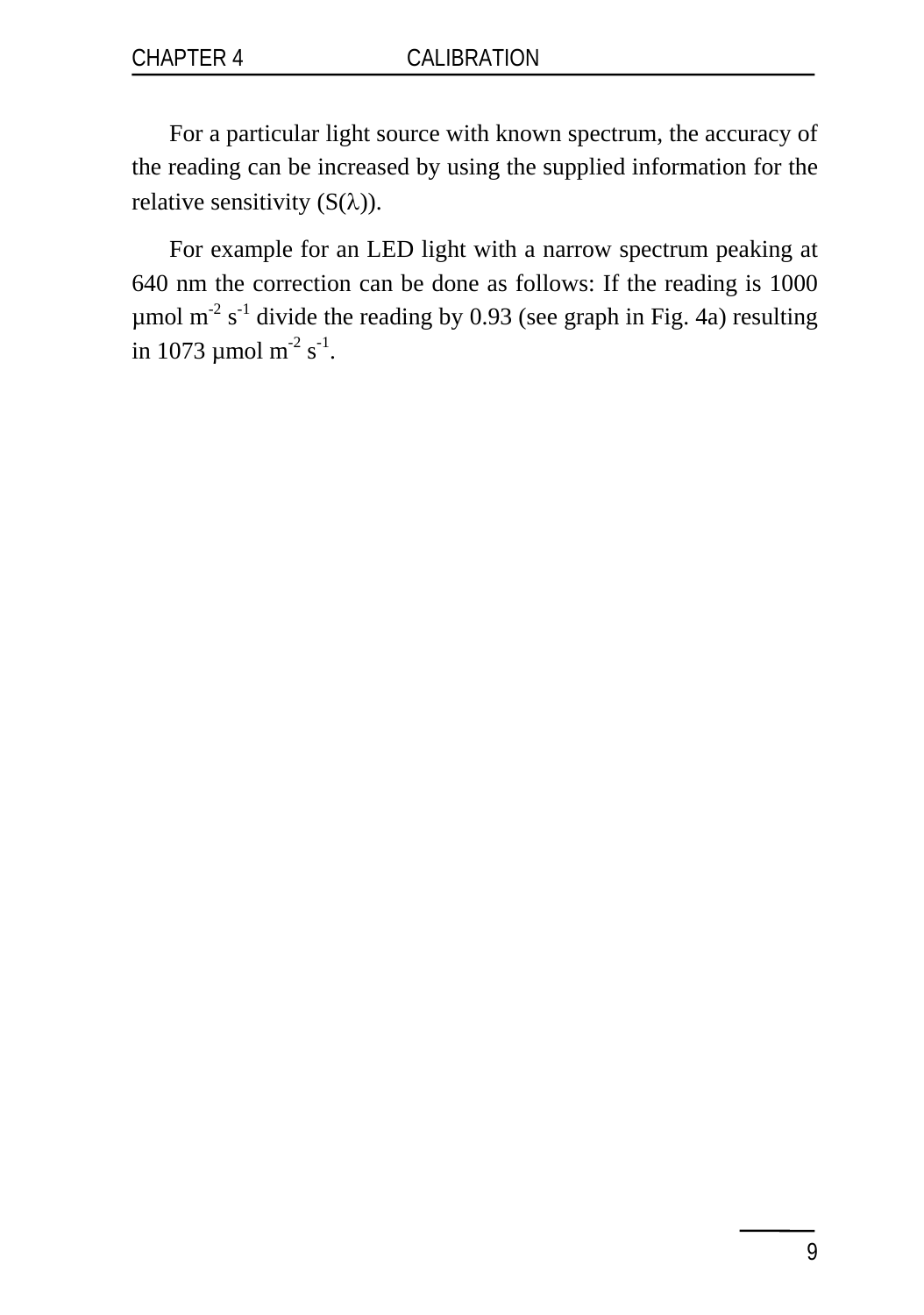For a particular light source with known spectrum, the accuracy of the reading can be increased by using the supplied information for the relative sensitivity  $(S(\lambda))$ .

For example for an LED light with a narrow spectrum peaking at 640 nm the correction can be done as follows: If the reading is 1000 umol  $m<sup>2</sup>$  s<sup>-1</sup> divide the reading by 0.93 (see graph in Fig. 4a) resulting in 1073  $\mu$ mol m<sup>-2</sup> s<sup>-1</sup>.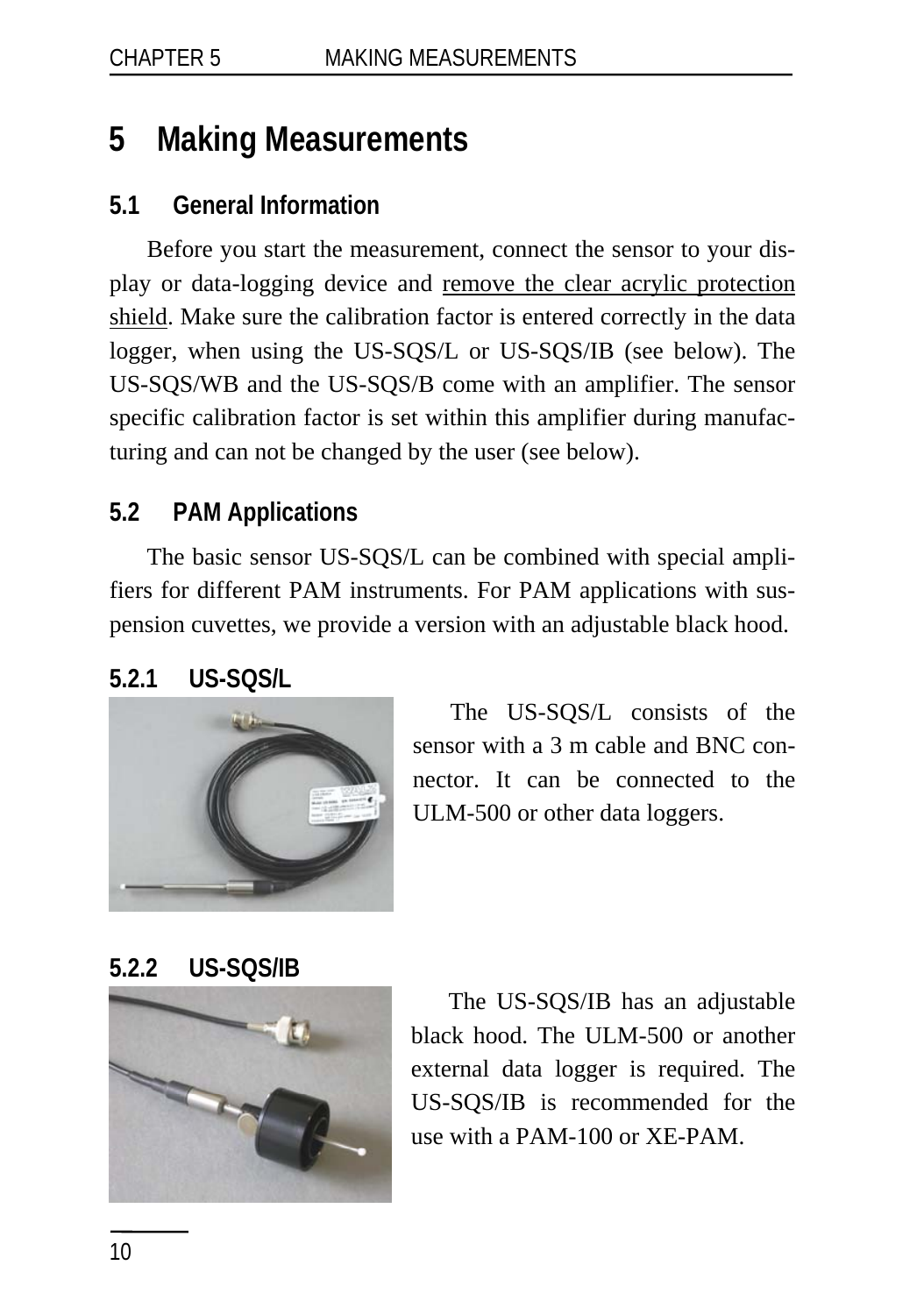# <span id="page-13-0"></span>**5 Making Measurements**

### **5.1 General Information**

Before you start the measurement, connect the sensor to your display or data-logging device and remove the clear acrylic protection shield. Make sure the calibration factor is entered correctly in the data logger, when using the US-SQS/L or US-SQS/IB (see below). The US-SQS/WB and the US-SQS/B come with an amplifier. The sensor specific calibration factor is set within this amplifier during manufacturing and can not be changed by the user (see below).

### **5.2 PAM Applications**

The basic sensor US-SQS/L can be combined with special amplifiers for different PAM instruments. For PAM applications with suspension cuvettes, we provide a version with an adjustable black hood.

## **5.2.1 US-SQS/L**



The US-SQS/L consists of the sensor with a 3 m cable and BNC connector. It can be connected to the ULM-500 or other data loggers.

## **5.2.2 US-SQS/IB**



The US-SQS/IB has an adjustable black hood. The ULM-500 or another external data logger is required. The US-SQS/IB is recommended for the use with a PAM-100 or XE-PAM.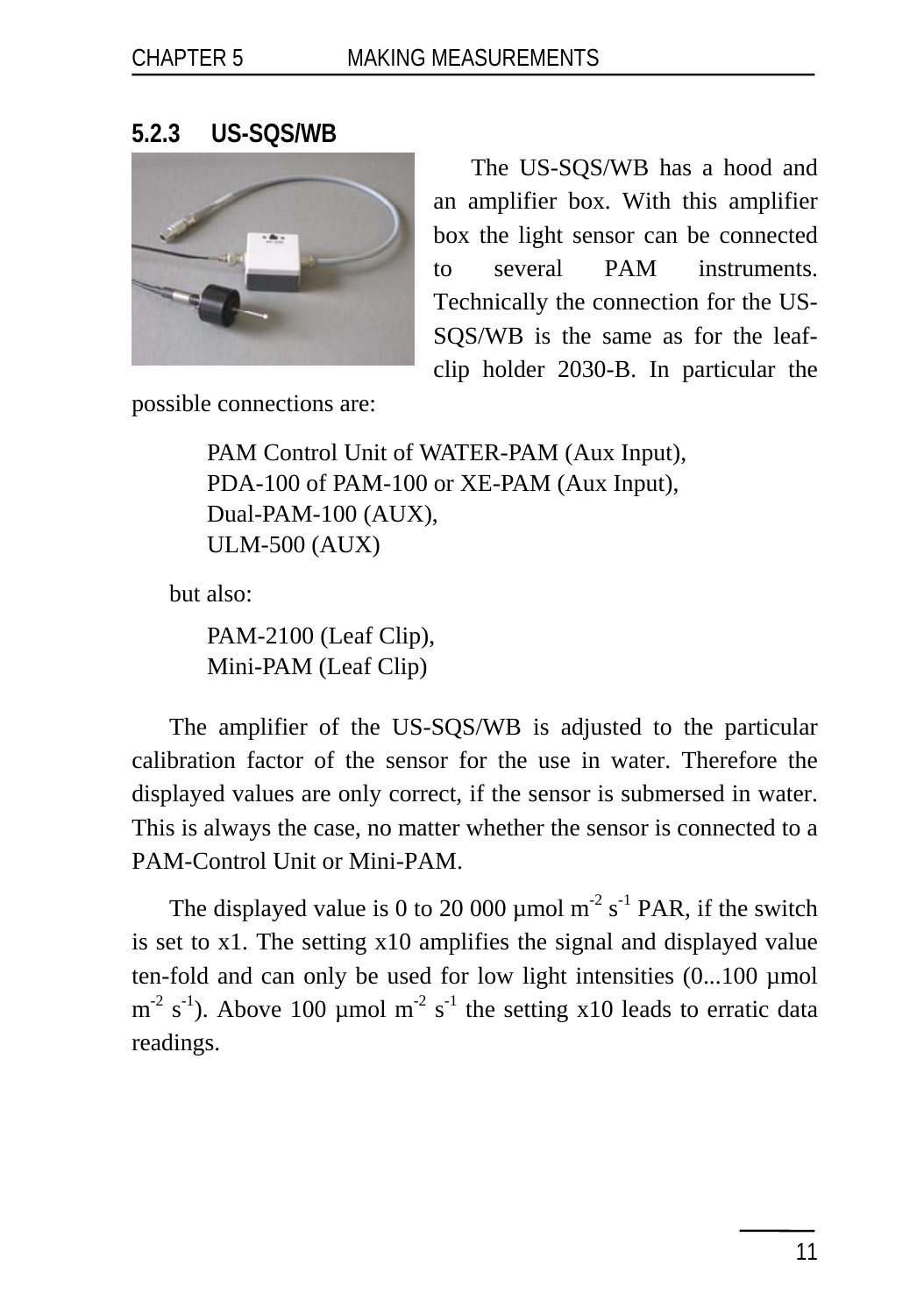#### <span id="page-14-0"></span>**5.2.3 US-SQS/WB**



The US-SQS/WB has a hood and an amplifier box. With this amplifier box the light sensor can be connected to several PAM instruments. Technically the connection for the US-SQS/WB is the same as for the leafclip holder 2030-B. In particular the

possible connections are:

PAM Control Unit of WATER-PAM (Aux Input), PDA-100 of PAM-100 or XE-PAM (Aux Input), Dual-PAM-100 (AUX), ULM-500 (AUX)

but also:

PAM-2100 (Leaf Clip), Mini-PAM (Leaf Clip)

The amplifier of the US-SQS/WB is adjusted to the particular calibration factor of the sensor for the use in water. Therefore the displayed values are only correct, if the sensor is submersed in water. This is always the case, no matter whether the sensor is connected to a PAM-Control Unit or Mini-PAM.

The displayed value is 0 to 20 000 µmol  $m<sup>2</sup> s<sup>-1</sup>$  PAR, if the switch is set to x1. The setting x10 amplifies the signal and displayed value ten-fold and can only be used for low light intensities (0...100 µmol  $m<sup>-2</sup>$  s<sup>-1</sup>). Above 100 µmol m<sup>-2</sup> s<sup>-1</sup> the setting x10 leads to erratic data readings.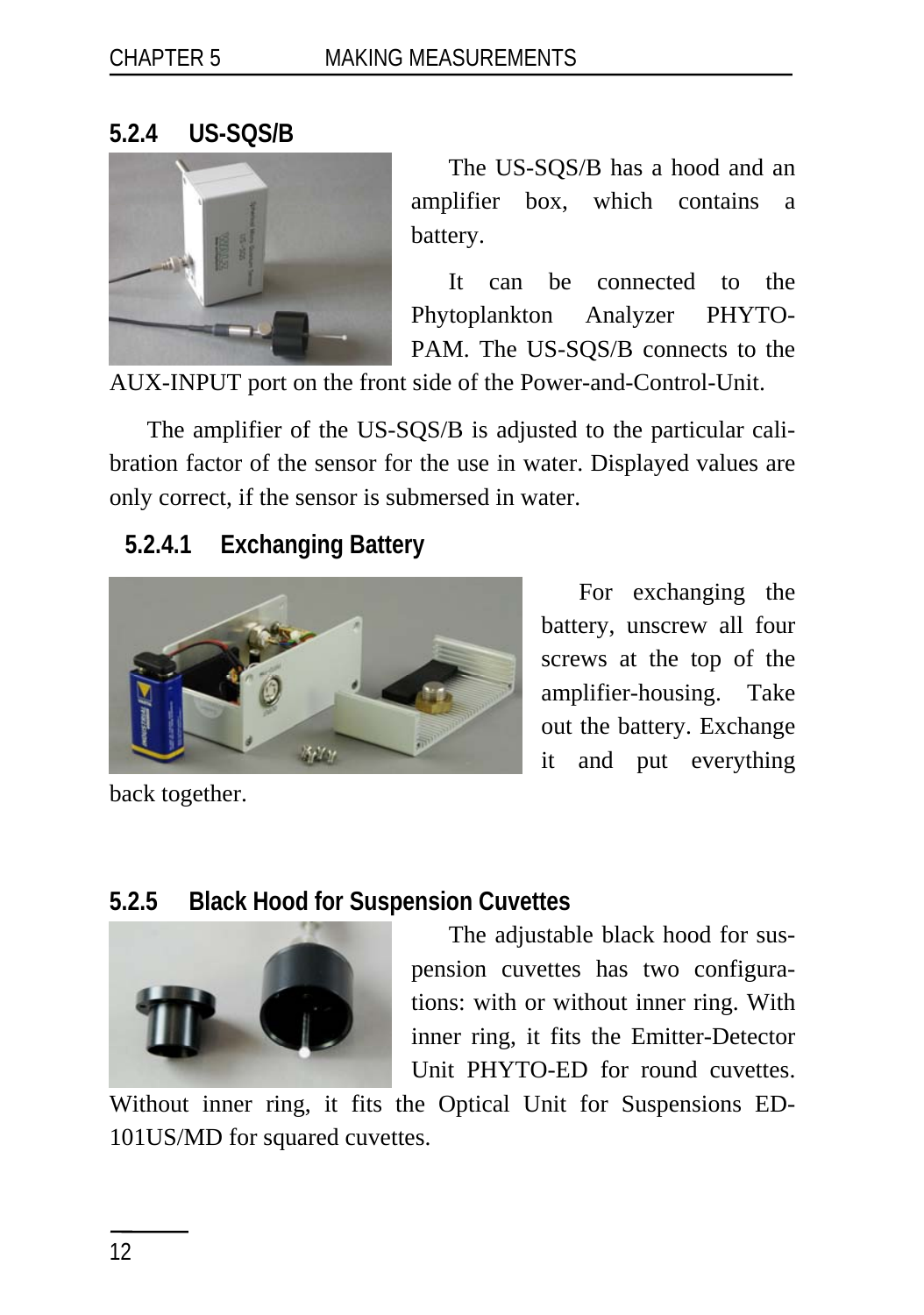### <span id="page-15-0"></span>**5.2.4 US-SQS/B**



The US-SQS/B has a hood and an amplifier box, which contains a battery.

It can be connected to the Phytoplankton Analyzer PHYTO-PAM. The US-SQS/B connects to the

AUX-INPUT port on the front side of the Power-and-Control-Unit.

The amplifier of the US-SQS/B is adjusted to the particular calibration factor of the sensor for the use in water. Displayed values are only correct, if the sensor is submersed in water.

# **5.2.4.1 Exchanging Battery**



For exchanging the battery, unscrew all four screws at the top of the amplifier-housing. Take out the battery. Exchange it and put everything

back together.

## **5.2.5 Black Hood for Suspension Cuvettes**



The adjustable black hood for suspension cuvettes has two configurations: with or without inner ring. With inner ring, it fits the Emitter-Detector Unit PHYTO-ED for round cuvettes.

Without inner ring, it fits the Optical Unit for Suspensions ED-101US/MD for squared cuvettes.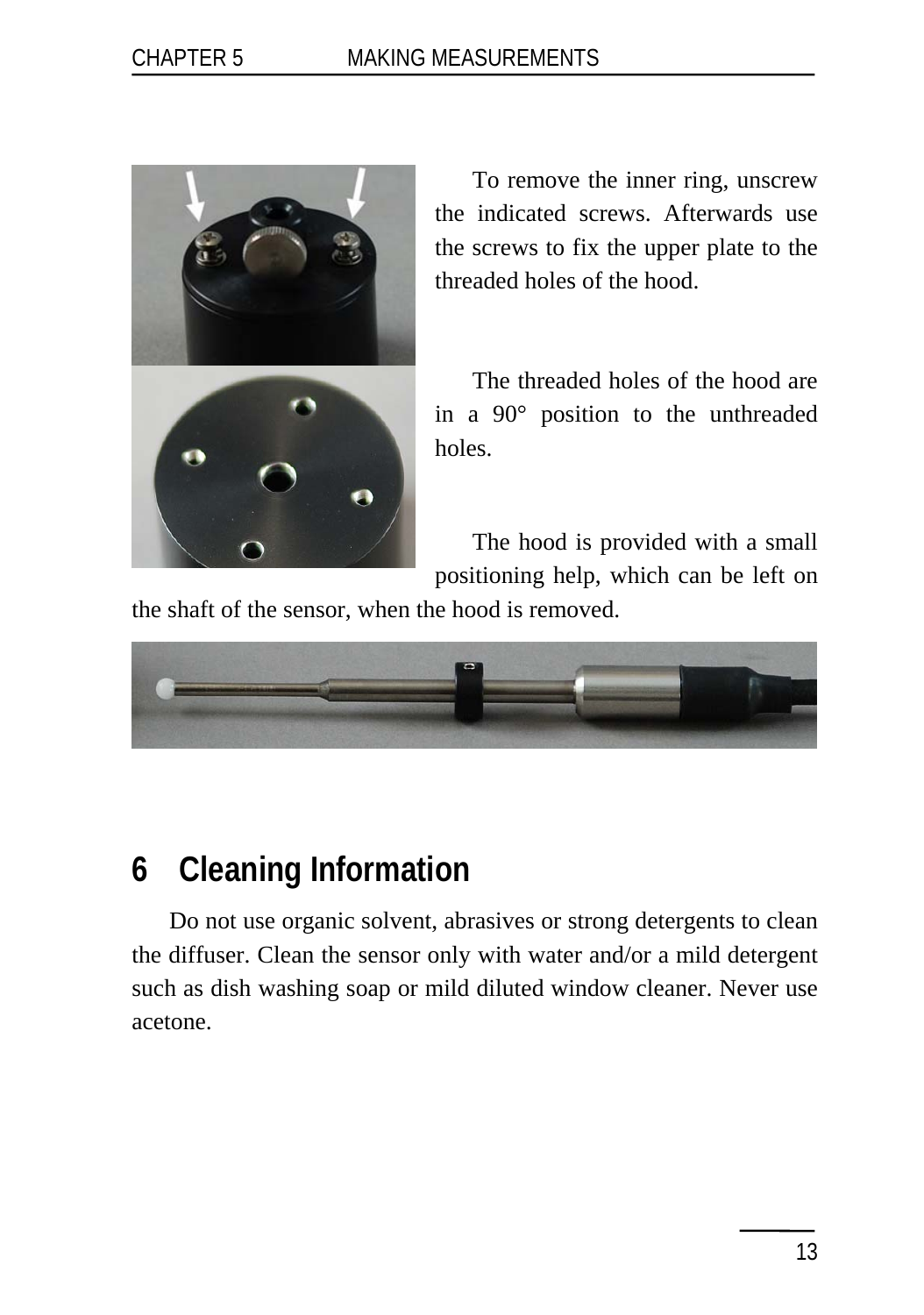<span id="page-16-0"></span>

To remove the inner ring, unscrew the indicated screws. Afterwards use the screws to fix the upper plate to the threaded holes of the hood.

The threaded holes of the hood are in a 90° position to the unthreaded holes.

The hood is provided with a small

positioning help, which can be left on

the shaft of the sensor, when the hood is removed.



# **6 Cleaning Information**

Do not use organic solvent, abrasives or strong detergents to clean the diffuser. Clean the sensor only with water and/or a mild detergent such as dish washing soap or mild diluted window cleaner. Never use acetone.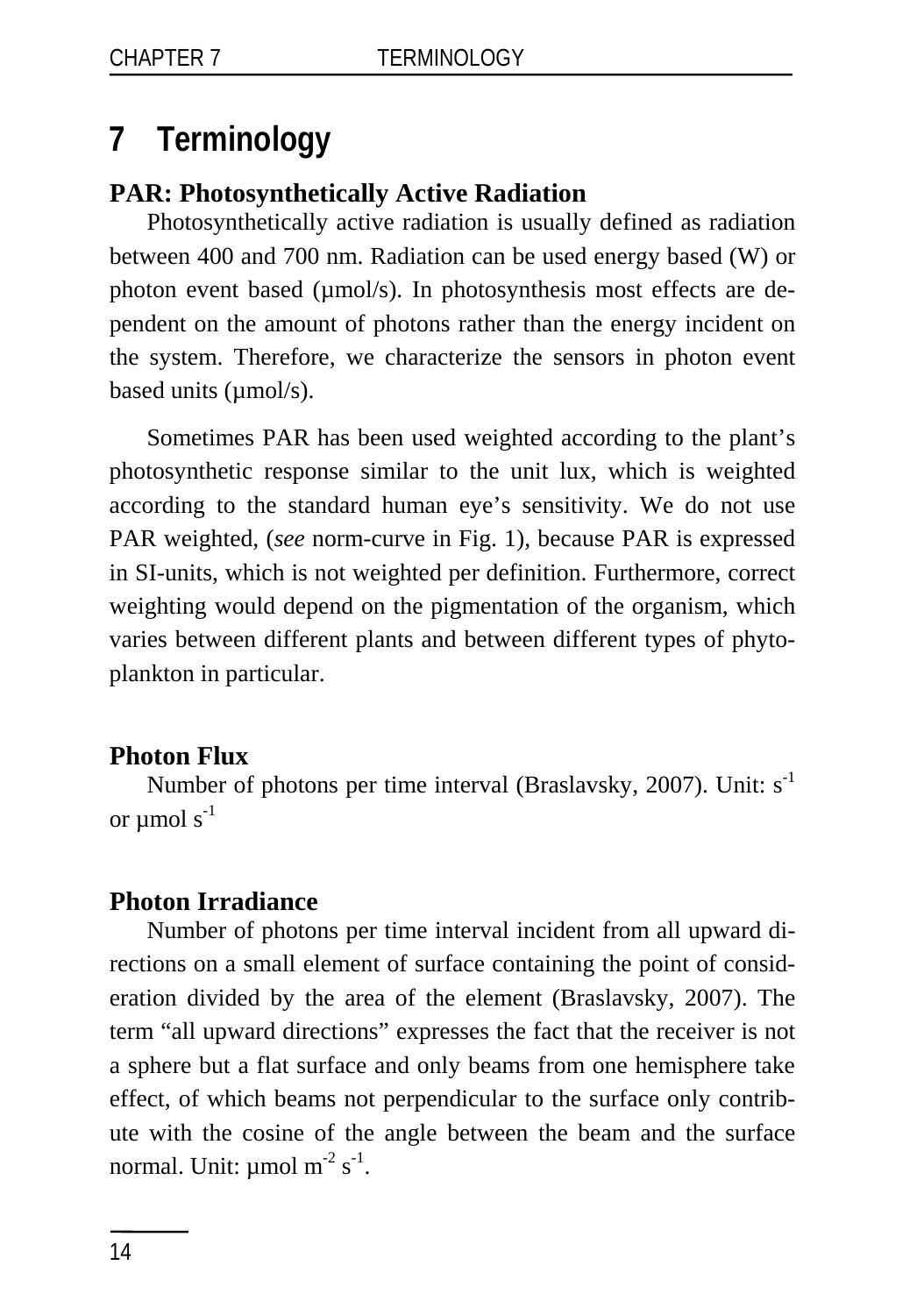# <span id="page-17-0"></span>**7 Terminology**

### **PAR: Photosynthetically Active Radiation**

Photosynthetically active radiation is usually defined as radiation between 400 and 700 nm. Radiation can be used energy based (W) or photon event based (µmol/s). In photosynthesis most effects are dependent on the amount of photons rather than the energy incident on the system. Therefore, we characterize the sensors in photon event based units (µmol/s).

Sometimes PAR has been used weighted according to the plant's photosynthetic response similar to the unit lux, which is weighted according to the standard human eye's sensitivity. We do not use PAR weighted, (*see* norm-curve in Fig. 1), because PAR is expressed in SI-units, which is not weighted per definition. Furthermore, correct weighting would depend on the pigmentation of the organism, which varies between different plants and between different types of phytoplankton in particular.

### **Photon Flux**

Number of photons per time interval (Braslavsky, 2007). Unit:  $s^{-1}$ or  $\mu$ mol  $s^{-1}$ 

### **Photon Irradiance**

Number of photons per time interval incident from all upward directions on a small element of surface containing the point of consideration divided by the area of the element (Braslavsky, 2007). The term "all upward directions" expresses the fact that the receiver is not a sphere but a flat surface and only beams from one hemisphere take effect, of which beams not perpendicular to the surface only contribute with the cosine of the angle between the beam and the surface normal. Unit:  $\mu$ mol m<sup>-2</sup> s<sup>-1</sup>.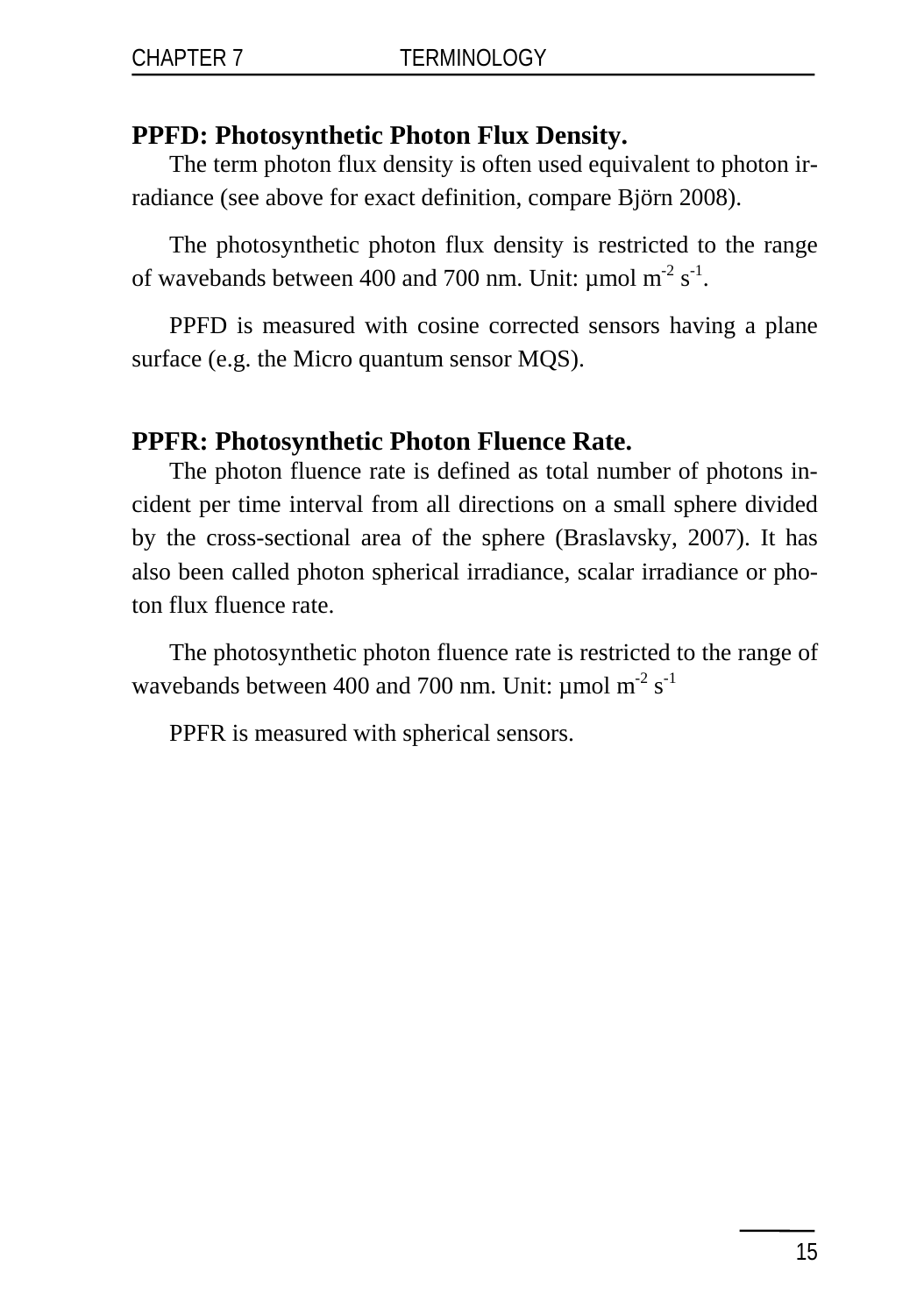### **PPFD: Photosynthetic Photon Flux Density.**

The term photon flux density is often used equivalent to photon irradiance (see above for exact definition, compare Björn 2008).

The photosynthetic photon flux density is restricted to the range of wavebands between 400 and 700 nm. Unit:  $\mu$ mol m<sup>-2</sup> s<sup>-1</sup>.

PPFD is measured with cosine corrected sensors having a plane surface (e.g. the Micro quantum sensor MQS).

#### **PPFR: Photosynthetic Photon Fluence Rate.**

The photon fluence rate is defined as total number of photons incident per time interval from all directions on a small sphere divided by the cross-sectional area of the sphere (Braslavsky, 2007). It has also been called photon spherical irradiance, scalar irradiance or photon flux fluence rate.

The photosynthetic photon fluence rate is restricted to the range of wavebands between 400 and 700 nm. Unit:  $\mu$ mol m<sup>-2</sup> s<sup>-1</sup>

PPFR is measured with spherical sensors.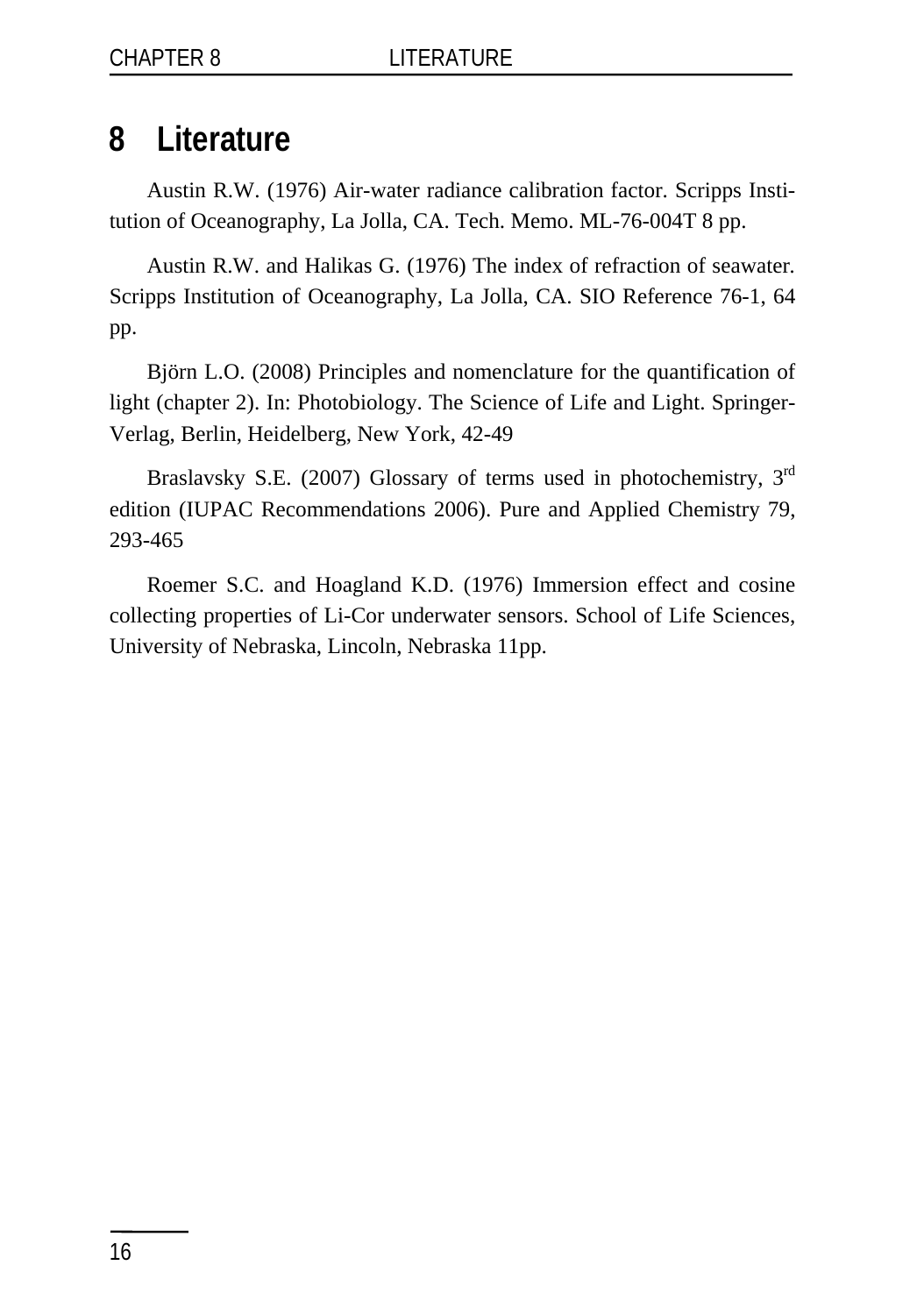# <span id="page-19-0"></span>**8 Literature**

Austin R.W. (1976) Air-water radiance calibration factor. Scripps Institution of Oceanography, La Jolla, CA. Tech. Memo. ML-76-004T 8 pp.

Austin R.W. and Halikas G. (1976) The index of refraction of seawater*.*  Scripps Institution of Oceanography, La Jolla, CA. SIO Reference 76-1, 64 pp.

Björn L.O. (2008) Principles and nomenclature for the quantification of light (chapter 2). In: Photobiology. The Science of Life and Light. Springer-Verlag, Berlin, Heidelberg, New York, 42-49

Braslavsky S.E. (2007) Glossary of terms used in photochemistry, 3<sup>rd</sup> edition (IUPAC Recommendations 2006). Pure and Applied Chemistry 79, 293-465

Roemer S.C. and Hoagland K.D. (1976) Immersion effect and cosine collecting properties of Li-Cor underwater sensors. School of Life Sciences, University of Nebraska, Lincoln, Nebraska 11pp.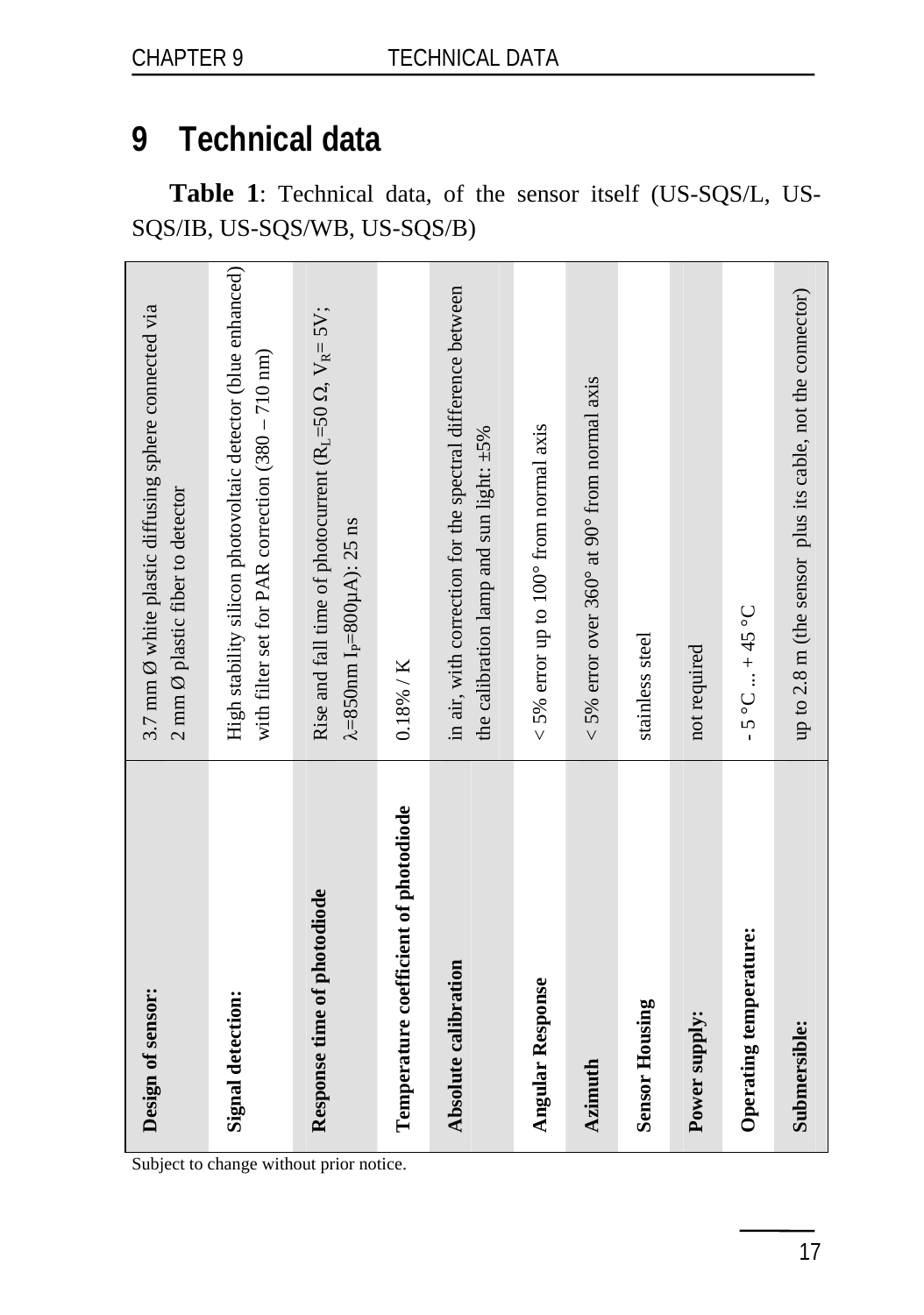# <span id="page-20-0"></span>**9 Technical data**

**Table 1**: Technical data, of the sensor itself (US-SQS/L, US-SQS/IB, US-SQS/WB, US-SQS/B)

| Design of sensor:                     | 3.7 mm $\emptyset$ white plastic diffusing sphere connected via<br>2 mm $\emptyset$ plastic fiber to detector               |
|---------------------------------------|-----------------------------------------------------------------------------------------------------------------------------|
| Signal detection:                     | High stability silicon photovoltaic detector (blue enhanced)<br>with filter set for PAR correction $(380 - 710 \text{ nm})$ |
| Response time of photodiode           | Rise and fall time of photocurrent ( $R_L = 50 \Omega$ , $V_R = 5V$ ;<br>$\lambda = 850$ nm I <sub>P</sub> =800µA): 25 ns   |
| Temperature coefficient of photodiode | $0.18\%$ / K                                                                                                                |
| Absolute calibration                  | in air, with correction for the spectral difference between<br>the calibration lamp and sun light: $\pm 5\%$                |
| <b>Angular Response</b>               | $<$ 5% error up to 100° from normal axis                                                                                    |
| Azimuth                               | $<$ 5% error over 360° at 90° from normal axis                                                                              |
| <b>Sensor Housing</b>                 | stainless steel                                                                                                             |
| Power supply:                         | not required                                                                                                                |
| Operating temperature:                | $-5^{\circ}C+45^{\circ}C$                                                                                                   |
| Submersible:                          | up to 2.8 m (the sensor plus its cable, not the connector)                                                                  |

Subject to change without prior notice.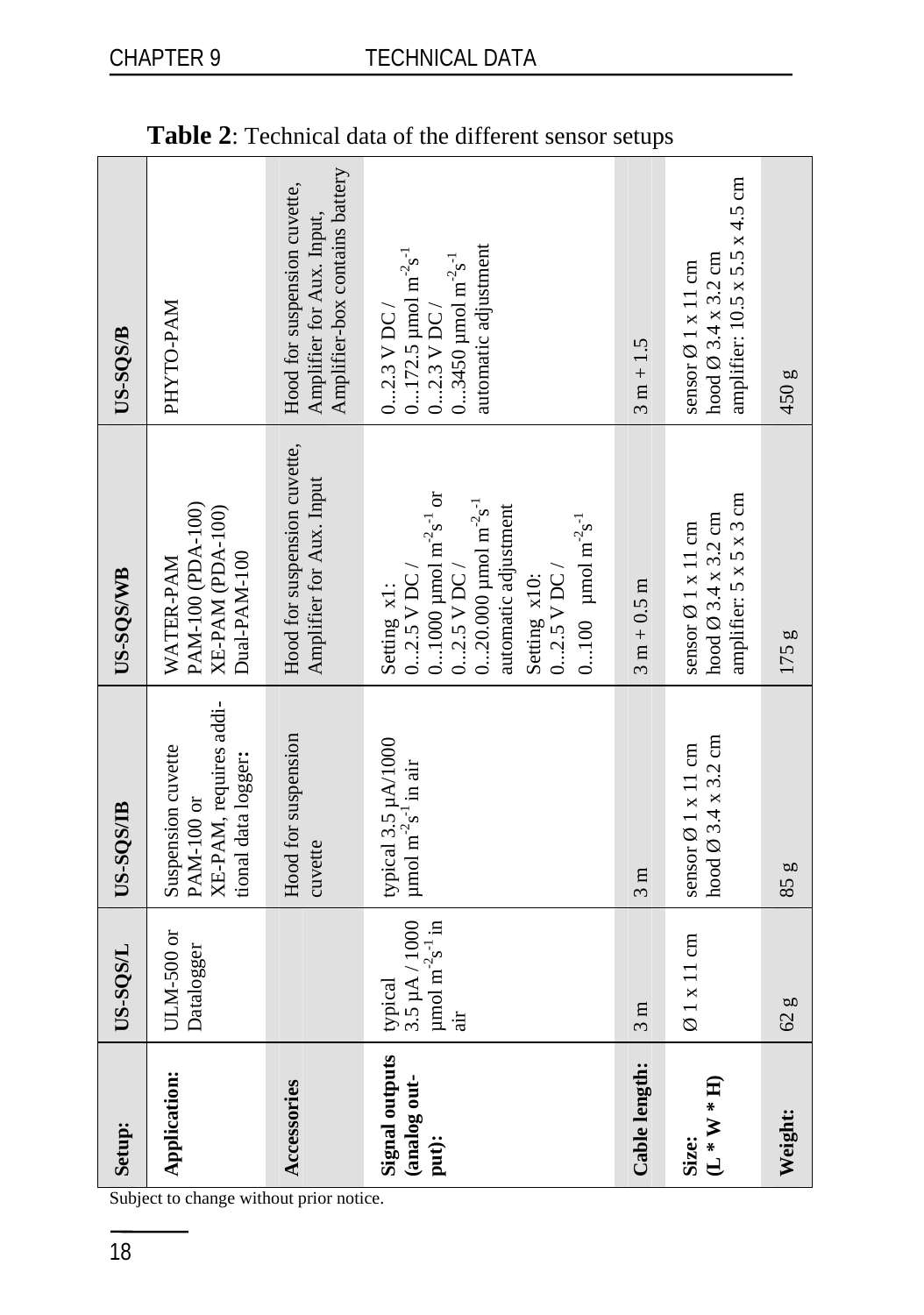| Setup:                                         | US-SQS/L                                                                                  | US-SQS/IB                                                                         | US-SQS/WB                                                                                                                                                                                                                                                                | US-SOS/B                                                                                                                                                                    |
|------------------------------------------------|-------------------------------------------------------------------------------------------|-----------------------------------------------------------------------------------|--------------------------------------------------------------------------------------------------------------------------------------------------------------------------------------------------------------------------------------------------------------------------|-----------------------------------------------------------------------------------------------------------------------------------------------------------------------------|
| Application:                                   | ULM-500 or<br>Datalogger                                                                  | XE-PAM, requires addi-<br>Suspension cuvette<br>tional data logger:<br>PAM-100 or | PAM-100 (PDA-100)<br>XE-PAM (PDA-100)<br>Dual-PAM-100<br>WATER-PAM                                                                                                                                                                                                       | PHYTO-PAM                                                                                                                                                                   |
| Accessories                                    |                                                                                           | Hood for suspension<br>cuvette                                                    | Hood for suspension cuvette,<br>Amplifier for Aux. Input                                                                                                                                                                                                                 | Amplifier-box contains battery<br>Hood for suspension cuvette,<br>Amplifier for Aux. Input,                                                                                 |
| <b>Signal outputs</b><br>(analog out-<br>put): | 3.5 µA / 1000<br>$\mu$ mol m <sup>-2</sup> s <sup>-1</sup> in<br>typical<br>$\frac{1}{2}$ | typical 3.5 µA/1000<br>$\mu$ mol m <sup>-2</sup> s <sup>-1</sup> in air           | 01000 $\mu$ mol m <sup>-2</sup> s <sup>-1</sup> or<br>020.000 $\mu$ mol m <sup>-2</sup> s <sup>-1</sup><br>automatic adjustment<br>0100 $\mu$ mol m <sup>-2</sup> s <sup>-1</sup><br>$02.5$ V DC/<br>$02.5$ V DC $\prime$<br>$02.5$ V DC/<br>Setting x10:<br>Setting x1: | automatic adjustment<br>$0172.5 \mu$ mol m <sup>-2</sup> s <sup>-1</sup><br>03450 $\mu$ mol m <sup>-2</sup> s <sup>-1</sup><br>$02.3$ V DC $\prime$<br>$02.3$ V DC $\prime$ |
| Cable length:                                  | $\frac{3}{m}$                                                                             | 3m                                                                                | $3 m + 0.5 m$                                                                                                                                                                                                                                                            | $3 m + 1.5$                                                                                                                                                                 |
| $(L * W * H)$<br>Size:                         | $\varnothing$ 1 x 11 cm                                                                   | hood $\varnothing$ 3.4 x 3.2 cm<br>sensor $\varnothing$ 1 x 11 cm                 | amplifier: 5 x 5 x 3 cm<br>hood $\varnothing$ 3.4 x 3.2 cm<br>sensor $\emptyset$ 1 x 11 cm                                                                                                                                                                               | amplifier: $10.5 \times 5.5 \times 4.5$ cm<br>hood $\varnothing$ 3.4 x 3.2 cm<br>sensor $\emptyset$ 1 x 11 cm                                                               |
| Weight:                                        | 62g                                                                                       | 85g                                                                               | 175 g                                                                                                                                                                                                                                                                    | 450g                                                                                                                                                                        |

|  | Table 2: Technical data of the different sensor setups |  |  |  |  |  |
|--|--------------------------------------------------------|--|--|--|--|--|
|--|--------------------------------------------------------|--|--|--|--|--|

Subject to change without prior notice.